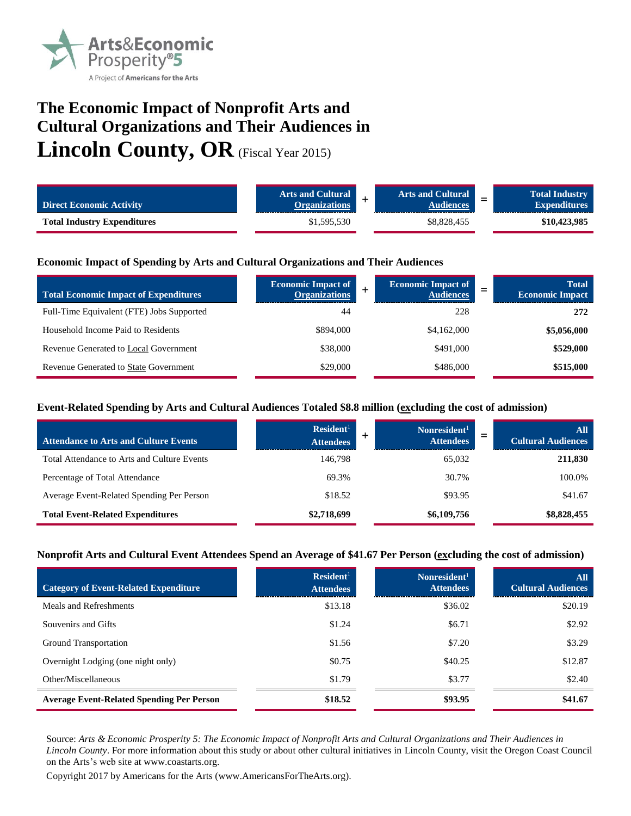

# **The Economic Impact of Nonprofit Arts and Cultural Organizations and Their Audiences in Lincoln County, OR** (Fiscal Year 2015)

| <b>Direct Economic Activity</b>    | <b>Arts and Cultural</b><br><b>Organizations</b> | <b>Arts and Cultural</b><br><b>Audiences</b> | $\overline{\phantom{0}}$ | <b>Total Industry</b><br><b>Expenditures</b> |
|------------------------------------|--------------------------------------------------|----------------------------------------------|--------------------------|----------------------------------------------|
| <b>Total Industry Expenditures</b> | \$1,595,530                                      | \$8,828,455                                  |                          | \$10,423,985                                 |

#### **Economic Impact of Spending by Arts and Cultural Organizations and Their Audiences**

| <b>Total Economic Impact of Expenditures</b> | <b>Economic Impact of</b><br><b>Organizations</b> | <b>Economic Impact of</b><br><b>Audiences</b> | <b>Total</b><br>–<br><b>Economic Impact</b> |
|----------------------------------------------|---------------------------------------------------|-----------------------------------------------|---------------------------------------------|
| Full-Time Equivalent (FTE) Jobs Supported    | 44                                                | 228                                           | 272                                         |
| Household Income Paid to Residents           | \$894,000                                         | \$4,162,000                                   | \$5,056,000                                 |
| Revenue Generated to Local Government        | \$38,000                                          | \$491,000                                     | \$529,000                                   |
| <b>Revenue Generated to State Government</b> | \$29,000                                          | \$486,000                                     | \$515,000                                   |

#### **Event-Related Spending by Arts and Cultural Audiences Totaled \$8.8 million (excluding the cost of admission)**

| <b>Attendance to Arts and Culture Events</b> | Resident <sup>1</sup><br><b>Attendees</b> | Nonresident <sup>1</sup><br><b>Attendees</b> | All<br><b>Cultural Audiences</b> |
|----------------------------------------------|-------------------------------------------|----------------------------------------------|----------------------------------|
| Total Attendance to Arts and Culture Events  | 146,798                                   | 65,032                                       | 211,830                          |
| Percentage of Total Attendance               | 69.3%                                     | 30.7%                                        | 100.0%                           |
| Average Event-Related Spending Per Person    | \$18.52                                   | \$93.95                                      | \$41.67                          |
| <b>Total Event-Related Expenditures</b>      | \$2,718,699                               | \$6,109,756                                  | \$8,828,455                      |

#### **Nonprofit Arts and Cultural Event Attendees Spend an Average of \$41.67 Per Person (excluding the cost of admission)**

| <b>Category of Event-Related Expenditure</b>     | Resident <sup>1</sup><br><b>Attendees</b> | Nonresident <sup>1</sup><br><b>Attendees</b> | All<br><b>Cultural Audiences</b> |
|--------------------------------------------------|-------------------------------------------|----------------------------------------------|----------------------------------|
| Meals and Refreshments                           | \$13.18                                   | \$36.02                                      | \$20.19                          |
| Souvenirs and Gifts                              | \$1.24                                    | \$6.71                                       | \$2.92                           |
| Ground Transportation                            | \$1.56                                    | \$7.20                                       | \$3.29                           |
| Overnight Lodging (one night only)               | \$0.75                                    | \$40.25                                      | \$12.87                          |
| Other/Miscellaneous                              | \$1.79                                    | \$3.77                                       | \$2.40                           |
| <b>Average Event-Related Spending Per Person</b> | \$18.52                                   | \$93.95                                      | \$41.67                          |

Source: *Arts & Economic Prosperity 5: The Economic Impact of Nonprofit Arts and Cultural Organizations and Their Audiences in Lincoln County*. For more information about this study or about other cultural initiatives in Lincoln County, visit the Oregon Coast Council on the Arts's web site at www.coastarts.org.

Copyright 2017 by Americans for the Arts (www.AmericansForTheArts.org).